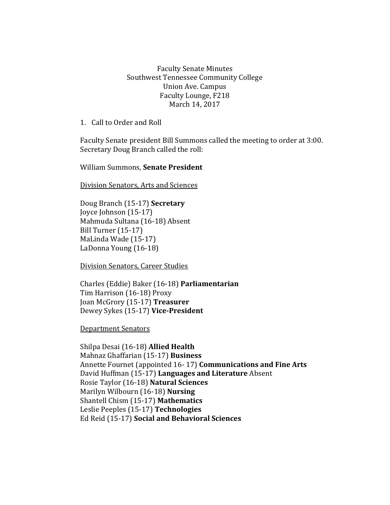Faculty Senate Minutes Southwest Tennessee Community College Union Ave. Campus Faculty Lounge, F218 March 14, 2017

1. Call to Order and Roll

Faculty Senate president Bill Summons called the meeting to order at 3:00. Secretary Doug Branch called the roll:

William Summons, **Senate President**

Division Senators, Arts and Sciences

Doug Branch (15-17) **Secretary** Joyce Johnson (15-17) Mahmuda Sultana (16-18) Absent Bill Turner (15-17) MaLinda Wade (15-17) LaDonna Young (16-18)

Division Senators, Career Studies

Charles (Eddie) Baker (16-18) **Parliamentarian** Tim Harrison (16-18) Proxy Joan McGrory (15-17) **Treasurer** Dewey Sykes (15-17) **Vice-President**

Department Senators

Shilpa Desai (16-18) **Allied Health** Mahnaz Ghaffarian (15-17) **Business** Annette Fournet (appointed 16- 17) **Communications and Fine Arts** David Huffman (15-17) **Languages and Literature** Absent Rosie Taylor (16-18) **Natural Sciences**  Marilyn Wilbourn (16-18) **Nursing** Shantell Chism (15-17) **Mathematics** Leslie Peeples (15-17) **Technologies**  Ed Reid (15-17) **Social and Behavioral Sciences**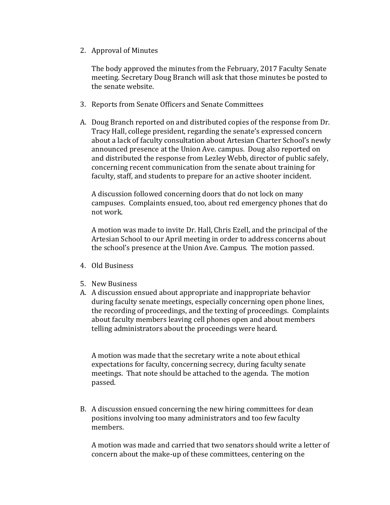2. Approval of Minutes

The body approved the minutes from the February, 2017 Faculty Senate meeting. Secretary Doug Branch will ask that those minutes be posted to the senate website.

- 3. Reports from Senate Officers and Senate Committees
- A. Doug Branch reported on and distributed copies of the response from Dr. Tracy Hall, college president, regarding the senate's expressed concern about a lack of faculty consultation about Artesian Charter School's newly announced presence at the Union Ave. campus. Doug also reported on and distributed the response from Lezley Webb, director of public safely, concerning recent communication from the senate about training for faculty, staff, and students to prepare for an active shooter incident.

A discussion followed concerning doors that do not lock on many campuses. Complaints ensued, too, about red emergency phones that do not work.

A motion was made to invite Dr. Hall, Chris Ezell, and the principal of the Artesian School to our April meeting in order to address concerns about the school's presence at the Union Ave. Campus. The motion passed.

- 4. Old Business
- 5. New Business
- A. A discussion ensued about appropriate and inappropriate behavior during faculty senate meetings, especially concerning open phone lines, the recording of proceedings, and the texting of proceedings. Complaints about faculty members leaving cell phones open and about members telling administrators about the proceedings were heard.

A motion was made that the secretary write a note about ethical expectations for faculty, concerning secrecy, during faculty senate meetings. That note should be attached to the agenda. The motion passed.

B. A discussion ensued concerning the new hiring committees for dean positions involving too many administrators and too few faculty members.

A motion was made and carried that two senators should write a letter of concern about the make-up of these committees, centering on the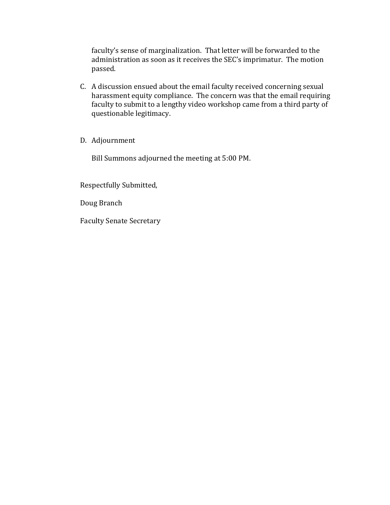faculty's sense of marginalization. That letter will be forwarded to the administration as soon as it receives the SEC's imprimatur. The motion passed.

- C. A discussion ensued about the email faculty received concerning sexual harassment equity compliance. The concern was that the email requiring faculty to submit to a lengthy video workshop came from a third party of questionable legitimacy.
- D. Adjournment

Bill Summons adjourned the meeting at 5:00 PM.

Respectfully Submitted,

Doug Branch

Faculty Senate Secretary